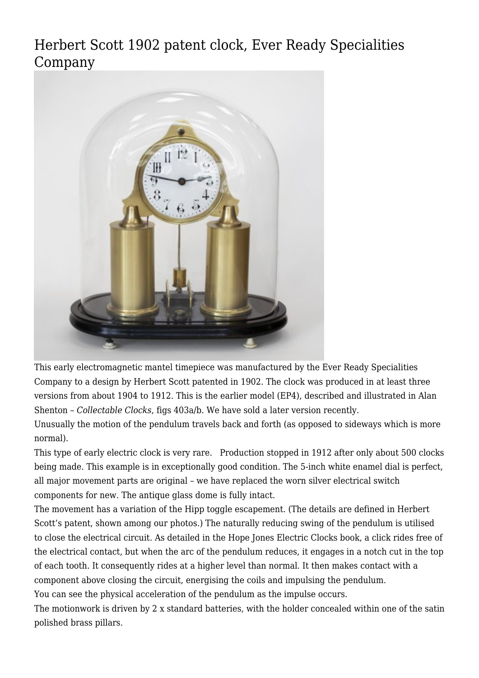[Herbert Scott 1902 patent clock, Ever Ready Specialities](http://www.ukclocks.com/products/herbert-scott-1902-patent-clock-ever-ready-specialities-company/) [Company](http://www.ukclocks.com/products/herbert-scott-1902-patent-clock-ever-ready-specialities-company/)



This early electromagnetic mantel timepiece was manufactured by the Ever Ready Specialities Company to a design by Herbert Scott patented in 1902. The clock was produced in at least three versions from about 1904 to 1912. This is the earlier model (EP4), described and illustrated in Alan Shenton – *Collectable Clocks*, figs 403a/b. We have sold [a later version](http://www.ukclocks.com/products/everready-electric-clock/) recently.

Unusually the motion of the pendulum travels back and forth (as opposed to sideways which is more normal).

This type of early electric clock is very rare. Production stopped in 1912 after only about 500 clocks being made. This example is in exceptionally good condition. The 5-inch white enamel dial is perfect, all major movement parts are original – we have replaced the worn silver electrical switch components for new. The antique glass dome is fully intact.

The movement has a variation of the Hipp toggle escapement. (The details are defined in Herbert Scott's patent, shown among our photos.) The naturally reducing swing of the pendulum is utilised to close the electrical circuit. As detailed in the Hope Jones Electric Clocks book, a click rides free of the electrical contact, but when the arc of the pendulum reduces, it engages in a notch cut in the top of each tooth. It consequently rides at a higher level than normal. It then makes contact with a component above closing the circuit, energising the coils and impulsing the pendulum. You can see the physical acceleration of the pendulum as the impulse occurs.

The motionwork is driven by 2 x standard batteries, with the holder concealed within one of the satin polished brass pillars.